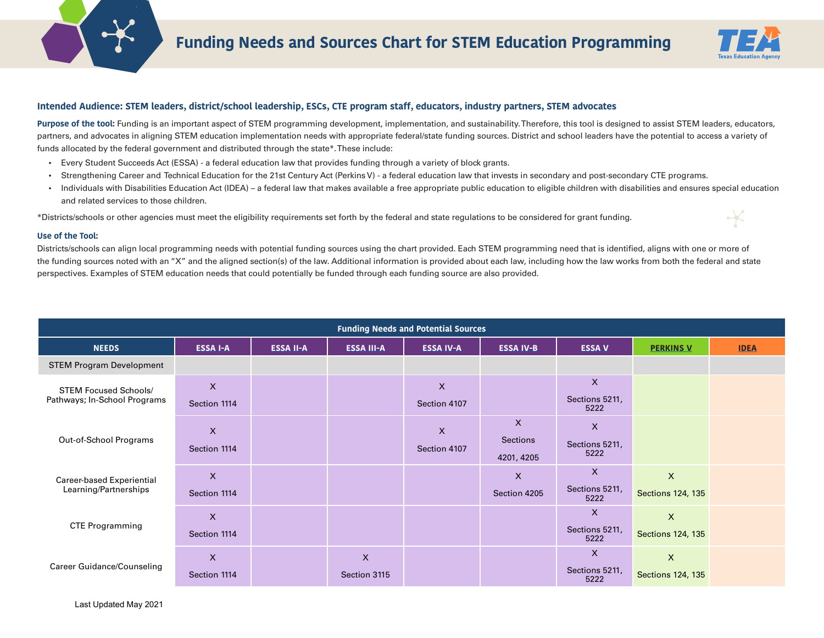



 $\boldsymbol{\mathcal{X}}$ 

#### **Intended Audience: STEM leaders, district/school leadership, ESCs, CTE program staff, educators, industry partners, STEM advocates**

Purpose of the tool: Funding is an important aspect of STEM programming development, implementation, and sustainability. Therefore, this tool is designed to assist STEM leaders, educators, partners, and advocates in aligning STEM education implementation needs with appropriate federal/state funding sources. District and school leaders have the potential to access a variety of funds allocated by the federal government and distributed through the state\*. These include:

- Every Student Succeeds Act (ESSA) a federal education law that provides funding through a variety of block grants.
- Strengthening Career and Technical Education for the 21st Century Act (Perkins V) a federal education law that invests in secondary and post-secondary CTE programs.
- Individuals with Disabilities Education Act (IDEA) a federal law that makes available a free appropriate public education to eligible children with disabilities and ensures special education and related services to those children.

\*Districts/schools or other agencies must meet the eligibility requirements set forth by the federal and state regulations to be considered for grant funding.

#### **Use of the Tool:**

Districts/schools can align local programming needs with potential funding sources using the chart provided. Each STEM programming need that is identified, aligns with one or more of the funding sources noted with an "X" and the aligned section(s) of the law. Additional information is provided about each law, including how the law works from both the federal and state perspectives. Examples of STEM education needs that could potentially be funded through each funding source are also provided.

| <b>Funding Needs and Potential Sources</b> |                 |                  |                   |                  |                               |                           |                          |             |
|--------------------------------------------|-----------------|------------------|-------------------|------------------|-------------------------------|---------------------------|--------------------------|-------------|
| <b>NEEDS</b>                               | <b>ESSA I-A</b> | <b>ESSA II-A</b> | <b>ESSA III-A</b> | <b>ESSA IV-A</b> | <b>ESSA IV-B</b>              | <b>ESSA V</b>             | <b>PERKINS V</b>         | <b>IDEA</b> |
| <b>STEM Program Development</b>            |                 |                  |                   |                  |                               |                           |                          |             |
| <b>STEM Focused Schools/</b>               | $\pmb{\times}$  |                  |                   | X                |                               | $\boldsymbol{\mathsf{X}}$ |                          |             |
| Pathways; In-School Programs               | Section 1114    |                  |                   | Section 4107     |                               | Sections 5211,<br>5222    |                          |             |
|                                            | $\mathsf{X}$    |                  |                   | X                | $\mathsf{x}$                  | $\mathsf{X}$              |                          |             |
| Out-of-School Programs                     | Section 1114    |                  |                   | Section 4107     | <b>Sections</b><br>4201, 4205 | Sections 5211,<br>5222    |                          |             |
| Career-based Experiential                  | $\mathsf{X}$    |                  |                   |                  | $\times$                      | $\boldsymbol{\mathsf{X}}$ | $\mathsf{X}$             |             |
| Learning/Partnerships                      | Section 1114    |                  |                   |                  | Section 4205                  | Sections 5211,<br>5222    | <b>Sections 124, 135</b> |             |
|                                            | $\mathsf{X}$    |                  |                   |                  |                               | X                         | $\mathsf{X}$             |             |
| <b>CTE Programming</b>                     | Section 1114    |                  |                   |                  |                               | Sections 5211,<br>5222    | <b>Sections 124, 135</b> |             |
|                                            | $\mathsf{X}$    |                  | X                 |                  |                               | $\mathsf{X}$              | $\mathsf{X}$             |             |
| Career Guidance/Counseling                 | Section 1114    |                  | Section 3115      |                  |                               | Sections 5211,<br>5222    | <b>Sections 124, 135</b> |             |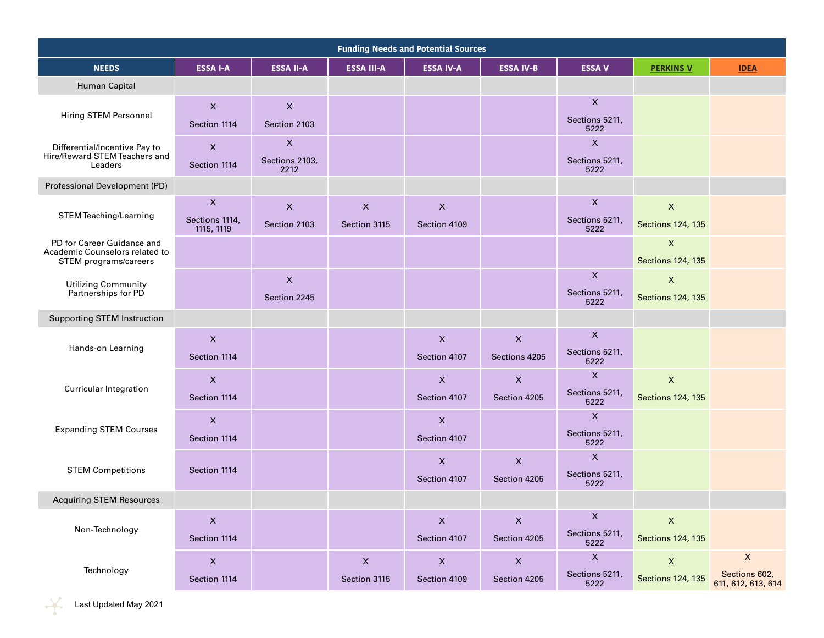|                                                                                       |                                             |                                           |                                           | <b>Funding Needs and Potential Sources</b> |                                            |                                                     |                                                |                                                    |
|---------------------------------------------------------------------------------------|---------------------------------------------|-------------------------------------------|-------------------------------------------|--------------------------------------------|--------------------------------------------|-----------------------------------------------------|------------------------------------------------|----------------------------------------------------|
| <b>NEEDS</b>                                                                          | <b>ESSA I-A</b>                             | <b>ESSA II-A</b>                          | <b>ESSA III-A</b>                         | <b>ESSA IV-A</b>                           | <b>ESSA IV-B</b>                           | <b>ESSA V</b>                                       | <b>PERKINS V</b>                               | <b>IDEA</b>                                        |
| Human Capital                                                                         |                                             |                                           |                                           |                                            |                                            |                                                     |                                                |                                                    |
| Hiring STEM Personnel                                                                 | $\boldsymbol{\mathsf{X}}$<br>Section 1114   | $\mathsf{x}$<br>Section 2103              |                                           |                                            |                                            | $\mathsf X$<br>Sections 5211,<br>5222               |                                                |                                                    |
| Differential/Incentive Pay to<br>Hire/Reward STEM Teachers and<br>Leaders             | $\boldsymbol{\mathsf{X}}$<br>Section 1114   | $\mathsf X$<br>Sections 2103,<br>2212     |                                           |                                            |                                            | $\boldsymbol{\mathsf{X}}$<br>Sections 5211,<br>5222 |                                                |                                                    |
| Professional Development (PD)                                                         |                                             |                                           |                                           |                                            |                                            |                                                     |                                                |                                                    |
| STEM Teaching/Learning                                                                | $\mathsf X$<br>Sections 1114,<br>1115, 1119 | $\boldsymbol{\mathsf{X}}$<br>Section 2103 | $\boldsymbol{\mathsf{X}}$<br>Section 3115 | $\boldsymbol{\mathsf{X}}$<br>Section 4109  |                                            | $\boldsymbol{\mathsf{X}}$<br>Sections 5211,<br>5222 | $\mathsf{X}$<br>Sections 124, 135              |                                                    |
| PD for Career Guidance and<br>Academic Counselors related to<br>STEM programs/careers |                                             |                                           |                                           |                                            |                                            |                                                     | $\boldsymbol{\mathsf{X}}$<br>Sections 124, 135 |                                                    |
| <b>Utilizing Community</b><br>Partnerships for PD                                     |                                             | $\boldsymbol{\mathsf{X}}$<br>Section 2245 |                                           |                                            |                                            | $\boldsymbol{\mathsf{X}}$<br>Sections 5211,<br>5222 | $\pmb{\times}$<br>Sections 124, 135            |                                                    |
| <b>Supporting STEM Instruction</b>                                                    |                                             |                                           |                                           |                                            |                                            |                                                     |                                                |                                                    |
| Hands-on Learning                                                                     | $\boldsymbol{\mathsf{X}}$<br>Section 1114   |                                           |                                           | $\boldsymbol{\mathsf{X}}$<br>Section 4107  | $\boldsymbol{\mathsf{X}}$<br>Sections 4205 | $\boldsymbol{\mathsf{X}}$<br>Sections 5211,<br>5222 |                                                |                                                    |
| <b>Curricular Integration</b>                                                         | $\boldsymbol{\mathsf{X}}$<br>Section 1114   |                                           |                                           | $\boldsymbol{\mathsf{X}}$<br>Section 4107  | $\pmb{\times}$<br>Section 4205             | $\mathsf{X}$<br>Sections 5211,<br>5222              | $\pmb{\times}$<br>Sections 124, 135            |                                                    |
| <b>Expanding STEM Courses</b>                                                         | $\boldsymbol{\mathsf{X}}$<br>Section 1114   |                                           |                                           | $\boldsymbol{\mathsf{X}}$<br>Section 4107  |                                            | $\mathsf{X}$<br>Sections 5211,<br>5222              |                                                |                                                    |
| <b>STEM Competitions</b>                                                              | Section 1114                                |                                           |                                           | $\pmb{\times}$<br>Section 4107             | X<br>Section 4205                          | $\mathsf{X}$<br>Sections 5211,<br>5222              |                                                |                                                    |
| <b>Acquiring STEM Resources</b>                                                       |                                             |                                           |                                           |                                            |                                            |                                                     |                                                |                                                    |
| Non-Technology                                                                        | $\boldsymbol{\mathsf{X}}$<br>Section 1114   |                                           |                                           | $\mathsf X$<br>Section 4107                | $\boldsymbol{\mathsf{X}}$<br>Section 4205  | $\mathsf X$<br>Sections 5211,<br>5222               | $\boldsymbol{\mathsf{X}}$<br>Sections 124, 135 |                                                    |
| Technology                                                                            | $\boldsymbol{\mathsf{X}}$<br>Section 1114   |                                           | $\mathsf X$<br>Section 3115               | $\mathsf X$<br>Section 4109                | $\mathsf X$<br>Section 4205                | $\mathsf X$<br>Sections 5211,<br>5222               | $\mathsf X$<br>Sections 124, 135               | $\mathsf X$<br>Sections 602,<br>611, 612, 613, 614 |

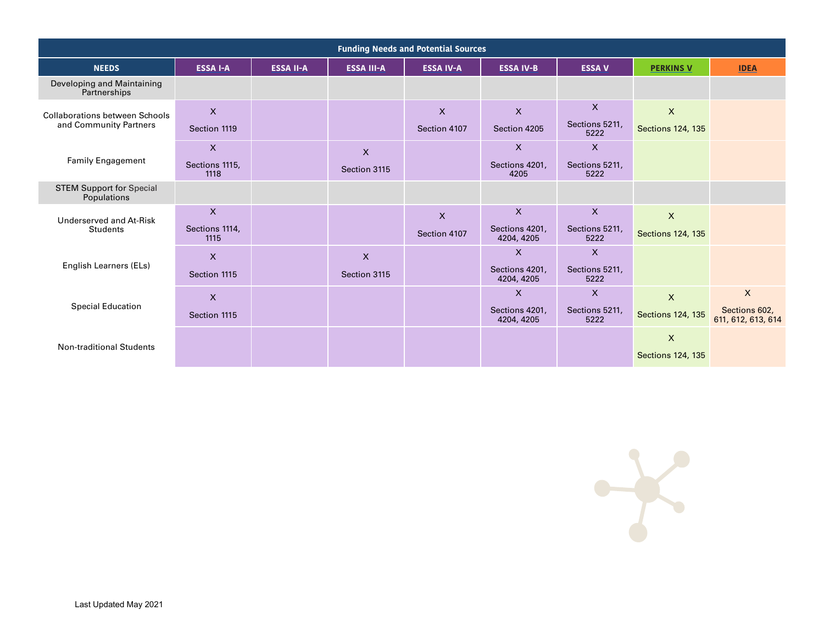|                                                |                        |                  |                   | <b>Funding Needs and Potential Sources</b> |                              |                        |                          |                                     |
|------------------------------------------------|------------------------|------------------|-------------------|--------------------------------------------|------------------------------|------------------------|--------------------------|-------------------------------------|
| <b>NEEDS</b>                                   | <b>ESSA I-A</b>        | <b>ESSA II-A</b> | <b>ESSA III-A</b> | <b>ESSA IV-A</b>                           | <b>ESSA IV-B</b>             | <b>ESSA V</b>          | <b>PERKINS V</b>         | <b>IDEA</b>                         |
| Developing and Maintaining<br>Partnerships     |                        |                  |                   |                                            |                              |                        |                          |                                     |
| <b>Collaborations between Schools</b>          | $\mathsf{x}$           |                  |                   | $\mathsf{X}$                               | $\mathsf{X}$                 | $\mathsf{X}$           | $\mathsf{X}$             |                                     |
| and Community Partners                         | Section 1119           |                  |                   | Section 4107                               | Section 4205                 | Sections 5211,<br>5222 | <b>Sections 124, 135</b> |                                     |
|                                                | $\mathsf{X}$           |                  | $\mathsf{X}$      |                                            | $\times$                     | $\mathsf{x}$           |                          |                                     |
| <b>Family Engagement</b>                       | Sections 1115,<br>1118 |                  | Section 3115      |                                            | Sections 4201,<br>4205       | Sections 5211,<br>5222 |                          |                                     |
| <b>STEM Support for Special</b><br>Populations |                        |                  |                   |                                            |                              |                        |                          |                                     |
| Underserved and At-Risk                        | $\pmb{\times}$         |                  |                   | $\mathsf{x}$                               | X                            | $\mathsf{x}$           | $\mathsf{X}$             |                                     |
| <b>Students</b>                                | Sections 1114,<br>1115 |                  |                   | Section 4107                               | Sections 4201,<br>4204, 4205 | Sections 5211.<br>5222 | <b>Sections 124, 135</b> |                                     |
|                                                | $\mathsf{X}$           |                  | $\mathsf{X}$      |                                            | $\mathsf{X}$                 | $\mathsf{x}$           |                          |                                     |
| English Learners (ELs)                         | Section 1115           |                  | Section 3115      |                                            | Sections 4201,<br>4204, 4205 | Sections 5211,<br>5222 |                          |                                     |
|                                                | X                      |                  |                   |                                            | $\times$                     | $\mathsf{X}$           | $\pmb{\times}$           | $\mathsf{X}$                        |
| <b>Special Education</b>                       | Section 1115           |                  |                   |                                            | Sections 4201,<br>4204, 4205 | Sections 5211,<br>5222 | Sections 124, 135        | Sections 602,<br>611, 612, 613, 614 |
|                                                |                        |                  |                   |                                            |                              |                        | $\mathsf{X}$             |                                     |
| <b>Non-traditional Students</b>                |                        |                  |                   |                                            |                              |                        | <b>Sections 124, 135</b> |                                     |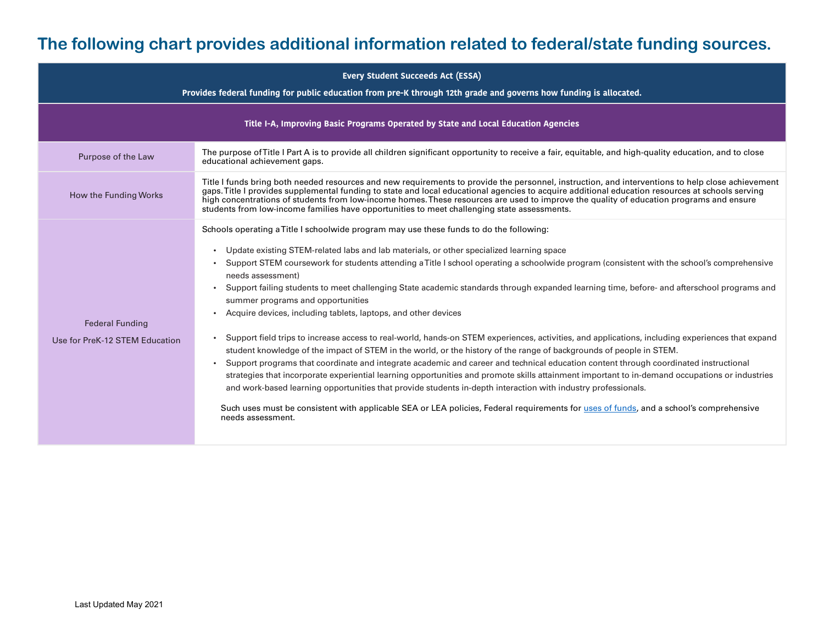# **The following chart provides additional information related to federal/state funding sources.**

| <b>Every Student Succeeds Act (ESSA)</b><br>Provides federal funding for public education from pre-K through 12th grade and governs how funding is allocated. |                                                                                                                                                                                                                                                                                                                                                                                                                                                                                                                                                                                                                                                                                                                                                                                                                                                                                                                                                                                                                                                                                                                                                                                                                                                                                                                                                                                                                                                                                                                                   |  |  |
|---------------------------------------------------------------------------------------------------------------------------------------------------------------|-----------------------------------------------------------------------------------------------------------------------------------------------------------------------------------------------------------------------------------------------------------------------------------------------------------------------------------------------------------------------------------------------------------------------------------------------------------------------------------------------------------------------------------------------------------------------------------------------------------------------------------------------------------------------------------------------------------------------------------------------------------------------------------------------------------------------------------------------------------------------------------------------------------------------------------------------------------------------------------------------------------------------------------------------------------------------------------------------------------------------------------------------------------------------------------------------------------------------------------------------------------------------------------------------------------------------------------------------------------------------------------------------------------------------------------------------------------------------------------------------------------------------------------|--|--|
|                                                                                                                                                               | Title I-A, Improving Basic Programs Operated by State and Local Education Agencies                                                                                                                                                                                                                                                                                                                                                                                                                                                                                                                                                                                                                                                                                                                                                                                                                                                                                                                                                                                                                                                                                                                                                                                                                                                                                                                                                                                                                                                |  |  |
| Purpose of the Law                                                                                                                                            | The purpose of Title I Part A is to provide all children significant opportunity to receive a fair, equitable, and high-quality education, and to close<br>educational achievement gaps.                                                                                                                                                                                                                                                                                                                                                                                                                                                                                                                                                                                                                                                                                                                                                                                                                                                                                                                                                                                                                                                                                                                                                                                                                                                                                                                                          |  |  |
| How the Funding Works                                                                                                                                         | Title I funds bring both needed resources and new requirements to provide the personnel, instruction, and interventions to help close achievement<br>gaps. Title I provides supplemental funding to state and local educational agencies to acquire additional education resources at schools serving<br>high concentrations of students from low-income homes. These resources are used to improve the quality of education programs and ensure<br>students from low-income families have opportunities to meet challenging state assessments.                                                                                                                                                                                                                                                                                                                                                                                                                                                                                                                                                                                                                                                                                                                                                                                                                                                                                                                                                                                   |  |  |
| <b>Federal Funding</b><br>Use for PreK-12 STEM Education                                                                                                      | Schools operating a Title I schoolwide program may use these funds to do the following:<br>Update existing STEM-related labs and lab materials, or other specialized learning space<br>$\bullet$<br>Support STEM coursework for students attending a Title I school operating a schoolwide program (consistent with the school's comprehensive<br>$\bullet$<br>needs assessment)<br>Support failing students to meet challenging State academic standards through expanded learning time, before- and afterschool programs and<br>$\bullet$<br>summer programs and opportunities<br>Acquire devices, including tablets, laptops, and other devices<br>Support field trips to increase access to real-world, hands-on STEM experiences, activities, and applications, including experiences that expand<br>$\bullet$<br>student knowledge of the impact of STEM in the world, or the history of the range of backgrounds of people in STEM.<br>Support programs that coordinate and integrate academic and career and technical education content through coordinated instructional<br>$\bullet$<br>strategies that incorporate experiential learning opportunities and promote skills attainment important to in-demand occupations or industries<br>and work-based learning opportunities that provide students in-depth interaction with industry professionals.<br>Such uses must be consistent with applicable SEA or LEA policies, Federal requirements for uses of funds, and a school's comprehensive<br>needs assessment. |  |  |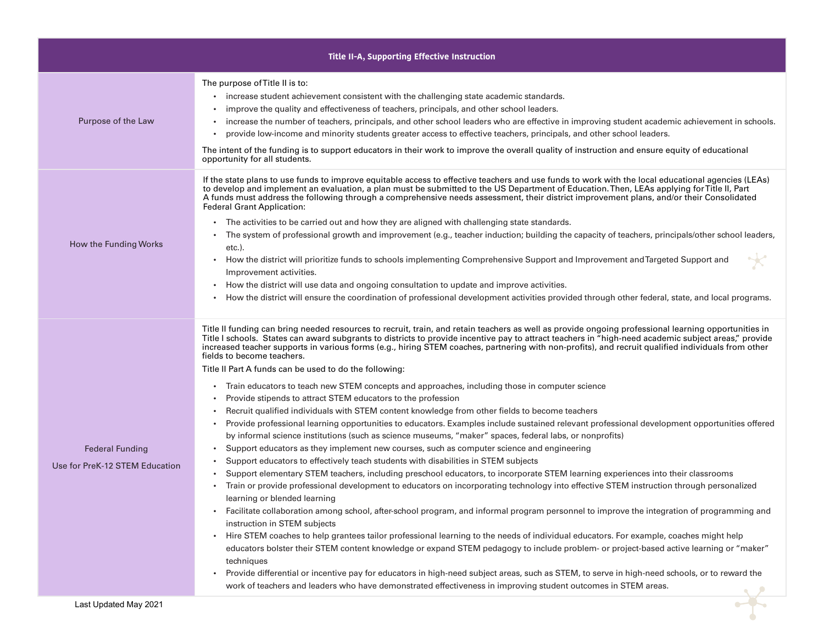|                                                          | Title II-A, Supporting Effective Instruction                                                                                                                                                                                                                                                                                                                                                                                                                                                                                                                                                                                                                                                                                                                                                                                                                                                                                                                                                                                                                                                                                                                                                                                                                                                                                                                                                                                                                                                                                                                                                                                                                                                                                                                                                                                                                                                                                                                                                                                                                                                                                                                                                                                                                                                                                                              |
|----------------------------------------------------------|-----------------------------------------------------------------------------------------------------------------------------------------------------------------------------------------------------------------------------------------------------------------------------------------------------------------------------------------------------------------------------------------------------------------------------------------------------------------------------------------------------------------------------------------------------------------------------------------------------------------------------------------------------------------------------------------------------------------------------------------------------------------------------------------------------------------------------------------------------------------------------------------------------------------------------------------------------------------------------------------------------------------------------------------------------------------------------------------------------------------------------------------------------------------------------------------------------------------------------------------------------------------------------------------------------------------------------------------------------------------------------------------------------------------------------------------------------------------------------------------------------------------------------------------------------------------------------------------------------------------------------------------------------------------------------------------------------------------------------------------------------------------------------------------------------------------------------------------------------------------------------------------------------------------------------------------------------------------------------------------------------------------------------------------------------------------------------------------------------------------------------------------------------------------------------------------------------------------------------------------------------------------------------------------------------------------------------------------------------------|
| Purpose of the Law                                       | The purpose of Title II is to:<br>increase student achievement consistent with the challenging state academic standards.<br>improve the quality and effectiveness of teachers, principals, and other school leaders.<br>increase the number of teachers, principals, and other school leaders who are effective in improving student academic achievement in schools.<br>provide low-income and minority students greater access to effective teachers, principals, and other school leaders.<br>The intent of the funding is to support educators in their work to improve the overall quality of instruction and ensure equity of educational<br>opportunity for all students.                                                                                                                                                                                                                                                                                                                                                                                                                                                                                                                                                                                                                                                                                                                                                                                                                                                                                                                                                                                                                                                                                                                                                                                                                                                                                                                                                                                                                                                                                                                                                                                                                                                                          |
| How the Funding Works                                    | If the state plans to use funds to improve equitable access to effective teachers and use funds to work with the local educational agencies (LEAs)<br>to develop and implement an evaluation, a plan must be submitted to the US Department of Education. Then, LEAs applying for Title II, Part<br>A funds must address the following through a comprehensive needs assessment, their district improvement plans, and/or their Consolidated<br><b>Federal Grant Application:</b><br>The activities to be carried out and how they are aligned with challenging state standards.<br>The system of professional growth and improvement (e.g., teacher induction; building the capacity of teachers, principals/other school leaders,<br>etc.).<br>How the district will prioritize funds to schools implementing Comprehensive Support and Improvement and Targeted Support and<br>$\bullet$<br>Improvement activities.<br>How the district will use data and ongoing consultation to update and improve activities.<br>How the district will ensure the coordination of professional development activities provided through other federal, state, and local programs.                                                                                                                                                                                                                                                                                                                                                                                                                                                                                                                                                                                                                                                                                                                                                                                                                                                                                                                                                                                                                                                                                                                                                                                    |
| <b>Federal Funding</b><br>Use for PreK-12 STEM Education | Title II funding can bring needed resources to recruit, train, and retain teachers as well as provide ongoing professional learning opportunities in<br>Title I schools. States can award subgrants to districts to provide incentive pay to attract teachers in "high-need academic subject areas," provide<br>increased teacher supports in various forms (e.g., hiring STEM coaches, partnering with non-profits), and recruit qualified individuals from other<br>fields to become teachers.<br>Title II Part A funds can be used to do the following:<br>Train educators to teach new STEM concepts and approaches, including those in computer science<br>Provide stipends to attract STEM educators to the profession<br>Recruit qualified individuals with STEM content knowledge from other fields to become teachers<br>Provide professional learning opportunities to educators. Examples include sustained relevant professional development opportunities offered<br>by informal science institutions (such as science museums, "maker" spaces, federal labs, or nonprofits)<br>Support educators as they implement new courses, such as computer science and engineering<br>Support educators to effectively teach students with disabilities in STEM subjects<br>Support elementary STEM teachers, including preschool educators, to incorporate STEM learning experiences into their classrooms<br>Train or provide professional development to educators on incorporating technology into effective STEM instruction through personalized<br>learning or blended learning<br>• Facilitate collaboration among school, after-school program, and informal program personnel to improve the integration of programming and<br>instruction in STEM subjects<br>Hire STEM coaches to help grantees tailor professional learning to the needs of individual educators. For example, coaches might help<br>$\bullet$<br>educators bolster their STEM content knowledge or expand STEM pedagogy to include problem- or project-based active learning or "maker"<br>techniques<br>Provide differential or incentive pay for educators in high-need subject areas, such as STEM, to serve in high-need schools, or to reward the<br>work of teachers and leaders who have demonstrated effectiveness in improving student outcomes in STEM areas. |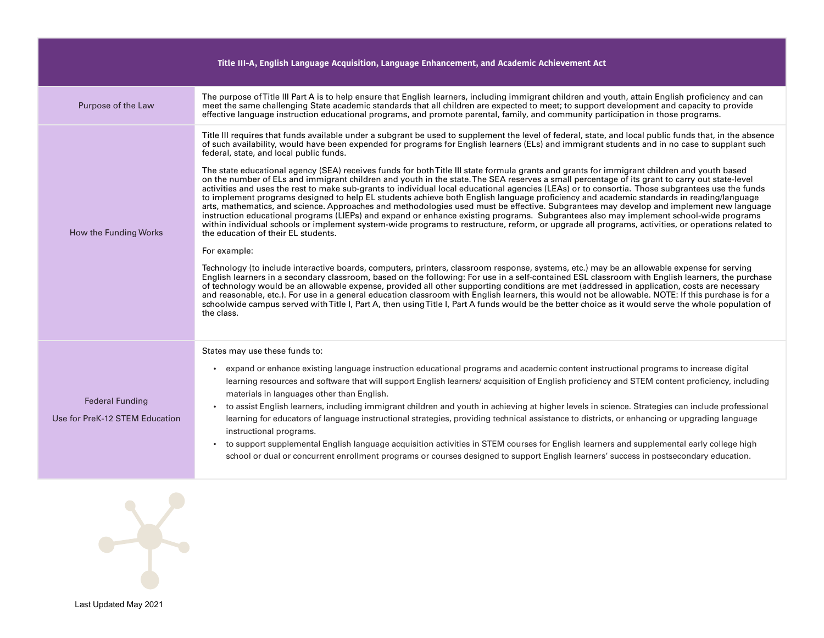|                                                          | Title III-A, English Language Acquisition, Language Enhancement, and Academic Achievement Act                                                                                                                                                                                                                                                                                                                                                                                                                                                                                                                                                                                                                                                                                                                                                                                                                                                                                                                                                                                                                                                                                                                                                                                                                                                                                                                                                                                                                                                                                                                                                                                                                                                                                                                                                                                                                                                                                                                                                                                                                                                                                                                                     |
|----------------------------------------------------------|-----------------------------------------------------------------------------------------------------------------------------------------------------------------------------------------------------------------------------------------------------------------------------------------------------------------------------------------------------------------------------------------------------------------------------------------------------------------------------------------------------------------------------------------------------------------------------------------------------------------------------------------------------------------------------------------------------------------------------------------------------------------------------------------------------------------------------------------------------------------------------------------------------------------------------------------------------------------------------------------------------------------------------------------------------------------------------------------------------------------------------------------------------------------------------------------------------------------------------------------------------------------------------------------------------------------------------------------------------------------------------------------------------------------------------------------------------------------------------------------------------------------------------------------------------------------------------------------------------------------------------------------------------------------------------------------------------------------------------------------------------------------------------------------------------------------------------------------------------------------------------------------------------------------------------------------------------------------------------------------------------------------------------------------------------------------------------------------------------------------------------------------------------------------------------------------------------------------------------------|
| Purpose of the Law                                       | The purpose of Title III Part A is to help ensure that English learners, including immigrant children and youth, attain English proficiency and can<br>meet the same challenging State academic standards that all children are expected to meet; to support development and capacity to provide<br>effective language instruction educational programs, and promote parental, family, and community participation in those programs.                                                                                                                                                                                                                                                                                                                                                                                                                                                                                                                                                                                                                                                                                                                                                                                                                                                                                                                                                                                                                                                                                                                                                                                                                                                                                                                                                                                                                                                                                                                                                                                                                                                                                                                                                                                             |
| How the Funding Works                                    | Title III requires that funds available under a subgrant be used to supplement the level of federal, state, and local public funds that, in the absence<br>of such availability, would have been expended for programs for English learners (ELs) and immigrant students and in no case to supplant such<br>federal, state, and local public funds.<br>The state educational agency (SEA) receives funds for both Title III state formula grants and grants for immigrant children and youth based<br>on the number of ELs and immigrant children and youth in the state. The SEA reserves a small percentage of its grant to carry out state-level<br>activities and uses the rest to make sub-grants to individual local educational agencies (LEAs) or to consortia. Those subgrantees use the funds<br>to implement programs designed to help EL students achieve both English language proficiency and academic standards in reading/language<br>arts, mathematics, and science. Approaches and methodologies used must be effective. Subgrantees may develop and implement new language<br>instruction educational programs (LIEPs) and expand or enhance existing programs. Subgrantees also may implement school-wide programs<br>within individual schools or implement system-wide programs to restructure, reform, or upgrade all programs, activities, or operations related to<br>the education of their EL students.<br>For example:<br>Technology (to include interactive boards, computers, printers, classroom response, systems, etc.) may be an allowable expense for serving<br>English learners in a secondary classroom, based on the following: For use in a self-contained ESL classroom with English learners, the purchase<br>of technology would be an allowable expense, provided all other supporting conditions are met (addressed in application, costs are necessary<br>and reasonable, etc.). For use in a general education classroom with English learners, this would not be allowable. NOTE: If this purchase is for a<br>schoolwide campus served with Title I, Part A, then using Title I, Part A funds would be the better choice as it would serve the whole population of<br>the class. |
| <b>Federal Funding</b><br>Use for PreK-12 STEM Education | States may use these funds to:<br>expand or enhance existing language instruction educational programs and academic content instructional programs to increase digital<br>learning resources and software that will support English learners/ acquisition of English proficiency and STEM content proficiency, including<br>materials in languages other than English.<br>to assist English learners, including immigrant children and youth in achieving at higher levels in science. Strategies can include professional<br>$\bullet$<br>learning for educators of language instructional strategies, providing technical assistance to districts, or enhancing or upgrading language<br>instructional programs.<br>to support supplemental English language acquisition activities in STEM courses for English learners and supplemental early college high<br>school or dual or concurrent enrollment programs or courses designed to support English learners' success in postsecondary education.                                                                                                                                                                                                                                                                                                                                                                                                                                                                                                                                                                                                                                                                                                                                                                                                                                                                                                                                                                                                                                                                                                                                                                                                                           |

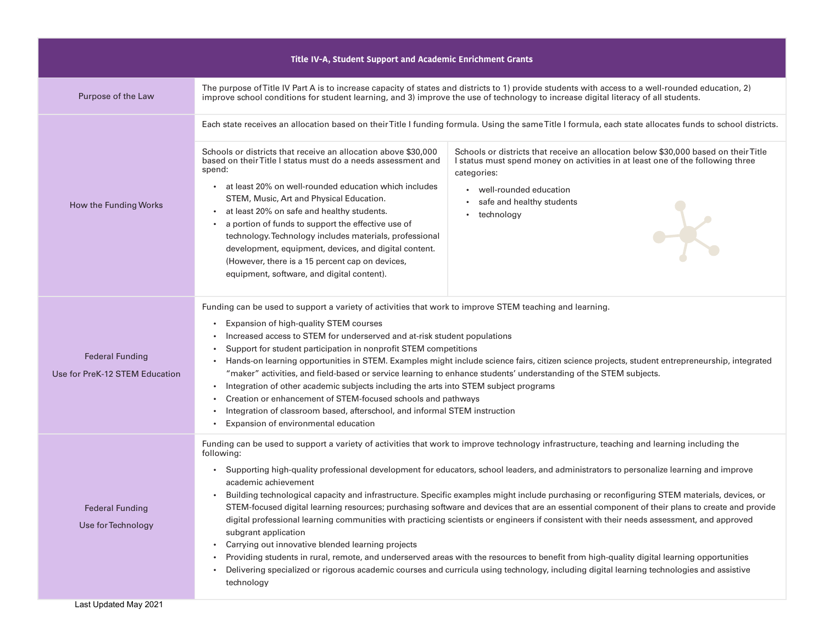|                                                          | Title IV-A, Student Support and Academic Enrichment Grants                                                                                                                                                                                                                                                                                                                                                                                                                                                                                                                                                                                                                                                                                                                                                                                                                                                                                                                                                                                                                                                                                                                |  |  |  |  |
|----------------------------------------------------------|---------------------------------------------------------------------------------------------------------------------------------------------------------------------------------------------------------------------------------------------------------------------------------------------------------------------------------------------------------------------------------------------------------------------------------------------------------------------------------------------------------------------------------------------------------------------------------------------------------------------------------------------------------------------------------------------------------------------------------------------------------------------------------------------------------------------------------------------------------------------------------------------------------------------------------------------------------------------------------------------------------------------------------------------------------------------------------------------------------------------------------------------------------------------------|--|--|--|--|
| Purpose of the Law                                       | The purpose of Title IV Part A is to increase capacity of states and districts to 1) provide students with access to a well-rounded education, 2)<br>improve school conditions for student learning, and 3) improve the use of technology to increase digital literacy of all students.                                                                                                                                                                                                                                                                                                                                                                                                                                                                                                                                                                                                                                                                                                                                                                                                                                                                                   |  |  |  |  |
| How the Funding Works                                    | Each state receives an allocation based on their Title I funding formula. Using the same Title I formula, each state allocates funds to school districts.<br>Schools or districts that receive an allocation above \$30,000<br>Schools or districts that receive an allocation below \$30,000 based on their Title<br>based on their Title I status must do a needs assessment and<br>I status must spend money on activities in at least one of the following three<br>spend:<br>categories:<br>at least 20% on well-rounded education which includes<br>• well-rounded education<br>STEM, Music, Art and Physical Education.<br>safe and healthy students<br>at least 20% on safe and healthy students.<br>technology<br>a portion of funds to support the effective use of<br>technology. Technology includes materials, professional<br>development, equipment, devices, and digital content.<br>(However, there is a 15 percent cap on devices,<br>equipment, software, and digital content).                                                                                                                                                                        |  |  |  |  |
| <b>Federal Funding</b><br>Use for PreK-12 STEM Education | Funding can be used to support a variety of activities that work to improve STEM teaching and learning.<br>Expansion of high-quality STEM courses<br>Increased access to STEM for underserved and at-risk student populations<br>Support for student participation in nonprofit STEM competitions<br>Hands-on learning opportunities in STEM. Examples might include science fairs, citizen science projects, student entrepreneurship, integrated<br>"maker" activities, and field-based or service learning to enhance students' understanding of the STEM subjects.<br>Integration of other academic subjects including the arts into STEM subject programs<br>$\bullet$<br>Creation or enhancement of STEM-focused schools and pathways<br>Integration of classroom based, afterschool, and informal STEM instruction<br>Expansion of environmental education<br>$\bullet$                                                                                                                                                                                                                                                                                            |  |  |  |  |
| <b>Federal Funding</b><br>Use for Technology             | Funding can be used to support a variety of activities that work to improve technology infrastructure, teaching and learning including the<br>following:<br>Supporting high-quality professional development for educators, school leaders, and administrators to personalize learning and improve<br>academic achievement<br>Building technological capacity and infrastructure. Specific examples might include purchasing or reconfiguring STEM materials, devices, or<br>STEM-focused digital learning resources; purchasing software and devices that are an essential component of their plans to create and provide<br>digital professional learning communities with practicing scientists or engineers if consistent with their needs assessment, and approved<br>subgrant application<br>Carrying out innovative blended learning projects<br>Providing students in rural, remote, and underserved areas with the resources to benefit from high-quality digital learning opportunities<br>Delivering specialized or rigorous academic courses and curricula using technology, including digital learning technologies and assistive<br>$\bullet$<br>technology |  |  |  |  |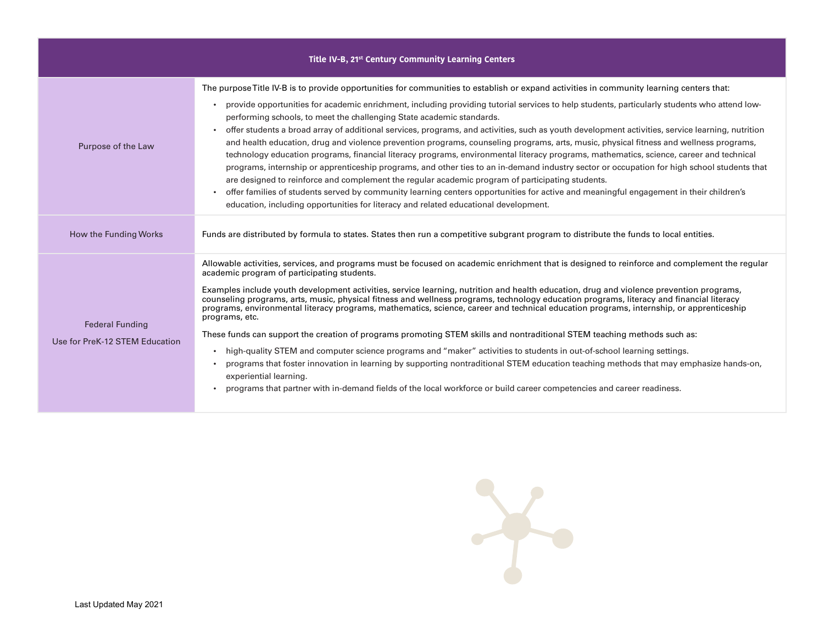|                                                          | Title IV-B, 21 <sup>st</sup> Century Community Learning Centers                                                                                                                                                                                                                                                                                                                                                                                                                                                                                                                                                                                                                                                                                                                                                                                                                                                                                                                                                                                                                                                                                                                                                                                                                                              |
|----------------------------------------------------------|--------------------------------------------------------------------------------------------------------------------------------------------------------------------------------------------------------------------------------------------------------------------------------------------------------------------------------------------------------------------------------------------------------------------------------------------------------------------------------------------------------------------------------------------------------------------------------------------------------------------------------------------------------------------------------------------------------------------------------------------------------------------------------------------------------------------------------------------------------------------------------------------------------------------------------------------------------------------------------------------------------------------------------------------------------------------------------------------------------------------------------------------------------------------------------------------------------------------------------------------------------------------------------------------------------------|
| Purpose of the Law                                       | The purpose Title IV-B is to provide opportunities for communities to establish or expand activities in community learning centers that:<br>provide opportunities for academic enrichment, including providing tutorial services to help students, particularly students who attend low-<br>$\bullet$<br>performing schools, to meet the challenging State academic standards.<br>offer students a broad array of additional services, programs, and activities, such as youth development activities, service learning, nutrition<br>and health education, drug and violence prevention programs, counseling programs, arts, music, physical fitness and wellness programs,<br>technology education programs, financial literacy programs, environmental literacy programs, mathematics, science, career and technical<br>programs, internship or apprenticeship programs, and other ties to an in-demand industry sector or occupation for high school students that<br>are designed to reinforce and complement the regular academic program of participating students.<br>offer families of students served by community learning centers opportunities for active and meaningful engagement in their children's<br>education, including opportunities for literacy and related educational development. |
| How the Funding Works                                    | Funds are distributed by formula to states. States then run a competitive subgrant program to distribute the funds to local entities.                                                                                                                                                                                                                                                                                                                                                                                                                                                                                                                                                                                                                                                                                                                                                                                                                                                                                                                                                                                                                                                                                                                                                                        |
| <b>Federal Funding</b><br>Use for PreK-12 STEM Education | Allowable activities, services, and programs must be focused on academic enrichment that is designed to reinforce and complement the regular<br>academic program of participating students.<br>Examples include youth development activities, service learning, nutrition and health education, drug and violence prevention programs,<br>counseling programs, arts, music, physical fitness and wellness programs, technology education programs, literacy and financial literacy<br>programs, environmental literacy programs, mathematics, science, career and technical education programs, internship, or apprenticeship<br>programs, etc.<br>These funds can support the creation of programs promoting STEM skills and nontraditional STEM teaching methods such as:<br>high-quality STEM and computer science programs and "maker" activities to students in out-of-school learning settings.<br>$\bullet$<br>programs that foster innovation in learning by supporting nontraditional STEM education teaching methods that may emphasize hands-on,<br>experiential learning.<br>programs that partner with in-demand fields of the local workforce or build career competencies and career readiness.                                                                                               |

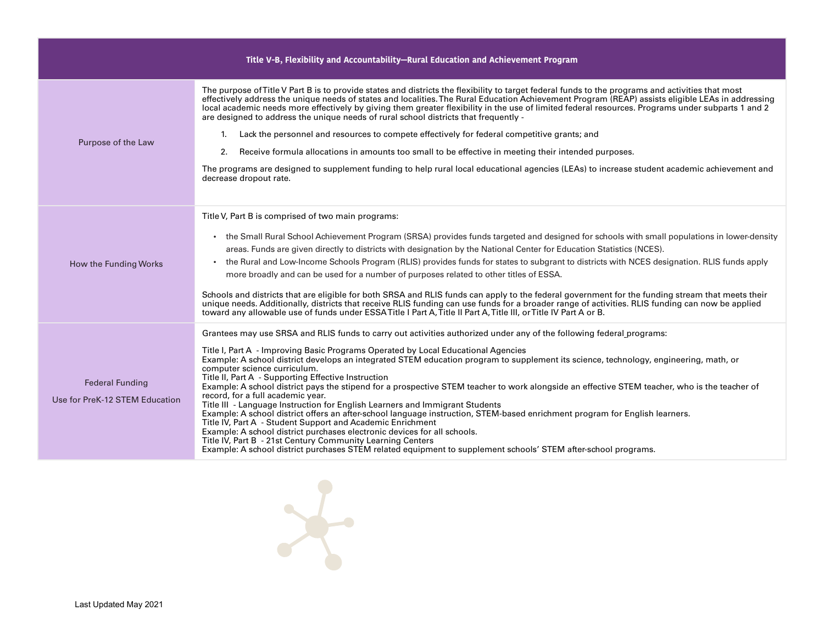|                                                          | Title V-B, Flexibility and Accountability-Rural Education and Achievement Program                                                                                                                                                                                                                                                                                                                                                                                                                                                                                                                                                                                                                                                                                                                                                                                                                                                                                                                                                                                                                                                                                        |
|----------------------------------------------------------|--------------------------------------------------------------------------------------------------------------------------------------------------------------------------------------------------------------------------------------------------------------------------------------------------------------------------------------------------------------------------------------------------------------------------------------------------------------------------------------------------------------------------------------------------------------------------------------------------------------------------------------------------------------------------------------------------------------------------------------------------------------------------------------------------------------------------------------------------------------------------------------------------------------------------------------------------------------------------------------------------------------------------------------------------------------------------------------------------------------------------------------------------------------------------|
| Purpose of the Law                                       | The purpose of Title V Part B is to provide states and districts the flexibility to target federal funds to the programs and activities that most<br>effectively address the unique needs of states and localities. The Rural Education Achievement Program (REAP) assists eligible LEAs in addressing<br>local academic needs more effectively by giving them greater flexibility in the use of limited federal resources. Programs under subparts 1 and 2<br>are designed to address the unique needs of rural school districts that frequently -<br>Lack the personnel and resources to compete effectively for federal competitive grants; and<br>1.<br>Receive formula allocations in amounts too small to be effective in meeting their intended purposes.<br>2.<br>The programs are designed to supplement funding to help rural local educational agencies (LEAs) to increase student academic achievement and<br>decrease dropout rate.                                                                                                                                                                                                                         |
| How the Funding Works                                    | Title V, Part B is comprised of two main programs:<br>• the Small Rural School Achievement Program (SRSA) provides funds targeted and designed for schools with small populations in lower-density<br>areas. Funds are given directly to districts with designation by the National Center for Education Statistics (NCES).<br>the Rural and Low-Income Schools Program (RLIS) provides funds for states to subgrant to districts with NCES designation. RLIS funds apply<br>more broadly and can be used for a number of purposes related to other titles of ESSA.<br>Schools and districts that are eligible for both SRSA and RLIS funds can apply to the federal government for the funding stream that meets their<br>unique needs. Additionally, districts that receive RLIS funding can use funds for a broader range of activities. RLIS funding can now be applied<br>toward any allowable use of funds under ESSATitle I Part A, Title II Part A, Title III, or Title IV Part A or B.                                                                                                                                                                          |
| <b>Federal Funding</b><br>Use for PreK-12 STEM Education | Grantees may use SRSA and RLIS funds to carry out activities authorized under any of the following federal programs:<br>Title I, Part A - Improving Basic Programs Operated by Local Educational Agencies<br>Example: A school district develops an integrated STEM education program to supplement its science, technology, engineering, math, or<br>computer science curriculum.<br>Title II, Part A - Supporting Effective Instruction<br>Example: A school district pays the stipend for a prospective STEM teacher to work alongside an effective STEM teacher, who is the teacher of<br>record, for a full academic year.<br>Title III - Language Instruction for English Learners and Immigrant Students<br>Example: A school district offers an after-school language instruction, STEM-based enrichment program for English learners.<br>Title IV, Part A - Student Support and Academic Enrichment<br>Example: A school district purchases electronic devices for all schools.<br>Title IV, Part B - 21st Century Community Learning Centers<br>Example: A school district purchases STEM related equipment to supplement schools' STEM after-school programs. |

 $\star$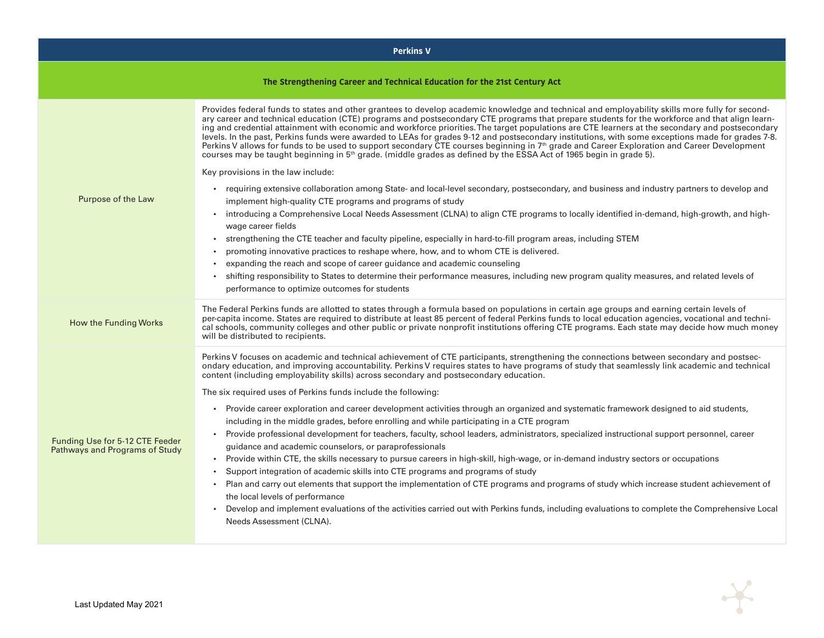#### **Perkins V**

### **The Strengthening Career and Technical Education for the 21st Century Act**

| Purpose of the Law                                                | Provides federal funds to states and other grantees to develop academic knowledge and technical and employability skills more fully for second-<br>ary career and technical education (CTE) programs and postsecondary CTE programs that prepare students for the workforce and that align learn-<br>ing and credential attainment with economic and workforce priorities. The target populations are CTE learners at the secondary and postsecondary<br>levels. In the past, Perkins funds were awarded to LEAs for grades 9-12 and postsecondary institutions, with some exceptions made for grades 7-8.<br>Perkins V allows for funds to be used to support secondary CTE courses beginning in 7 <sup>th</sup> grade and Career Exploration and Career Development<br>courses may be taught beginning in 5 <sup>th</sup> grade. (middle grades as defined by the ESSA Act of 1965 begin in grade 5).<br>Key provisions in the law include:<br>requiring extensive collaboration among State- and local-level secondary, postsecondary, and business and industry partners to develop and<br>implement high-quality CTE programs and programs of study<br>. introducing a Comprehensive Local Needs Assessment (CLNA) to align CTE programs to locally identified in-demand, high-growth, and high-<br>wage career fields<br>strengthening the CTE teacher and faculty pipeline, especially in hard-to-fill program areas, including STEM<br>promoting innovative practices to reshape where, how, and to whom CTE is delivered.<br>expanding the reach and scope of career guidance and academic counseling<br>shifting responsibility to States to determine their performance measures, including new program quality measures, and related levels of<br>performance to optimize outcomes for students |
|-------------------------------------------------------------------|-------------------------------------------------------------------------------------------------------------------------------------------------------------------------------------------------------------------------------------------------------------------------------------------------------------------------------------------------------------------------------------------------------------------------------------------------------------------------------------------------------------------------------------------------------------------------------------------------------------------------------------------------------------------------------------------------------------------------------------------------------------------------------------------------------------------------------------------------------------------------------------------------------------------------------------------------------------------------------------------------------------------------------------------------------------------------------------------------------------------------------------------------------------------------------------------------------------------------------------------------------------------------------------------------------------------------------------------------------------------------------------------------------------------------------------------------------------------------------------------------------------------------------------------------------------------------------------------------------------------------------------------------------------------------------------------------------------------------------------------------------------------------------------------------------------|
| How the Funding Works                                             | The Federal Perkins funds are allotted to states through a formula based on populations in certain age groups and earning certain levels of<br>per-capita income. States are required to distribute at least 85 percent of federal Perkins funds to local education agencies, vocational and techni-<br>cal schools, community colleges and other public or private nonprofit institutions offering CTE programs. Each state may decide how much money<br>will be distributed to recipients.                                                                                                                                                                                                                                                                                                                                                                                                                                                                                                                                                                                                                                                                                                                                                                                                                                                                                                                                                                                                                                                                                                                                                                                                                                                                                                                |
| Funding Use for 5-12 CTE Feeder<br>Pathways and Programs of Study | Perkins V focuses on academic and technical achievement of CTE participants, strengthening the connections between secondary and postsec-<br>ondary education, and improving accountability. Perkins V requires states to have programs of study that seamlessly link academic and technical<br>content (including employability skills) across secondary and postsecondary education.<br>The six required uses of Perkins funds include the following:<br>• Provide career exploration and career development activities through an organized and systematic framework designed to aid students,<br>including in the middle grades, before enrolling and while participating in a CTE program<br>. Provide professional development for teachers, faculty, school leaders, administrators, specialized instructional support personnel, career<br>guidance and academic counselors, or paraprofessionals<br>Provide within CTE, the skills necessary to pursue careers in high-skill, high-wage, or in-demand industry sectors or occupations<br>Support integration of academic skills into CTE programs and programs of study<br>• Plan and carry out elements that support the implementation of CTE programs and programs of study which increase student achievement of<br>the local levels of performance<br>Develop and implement evaluations of the activities carried out with Perkins funds, including evaluations to complete the Comprehensive Local<br>Needs Assessment (CLNA).                                                                                                                                                                                                                                                                                                               |

 $\boldsymbol{\times}$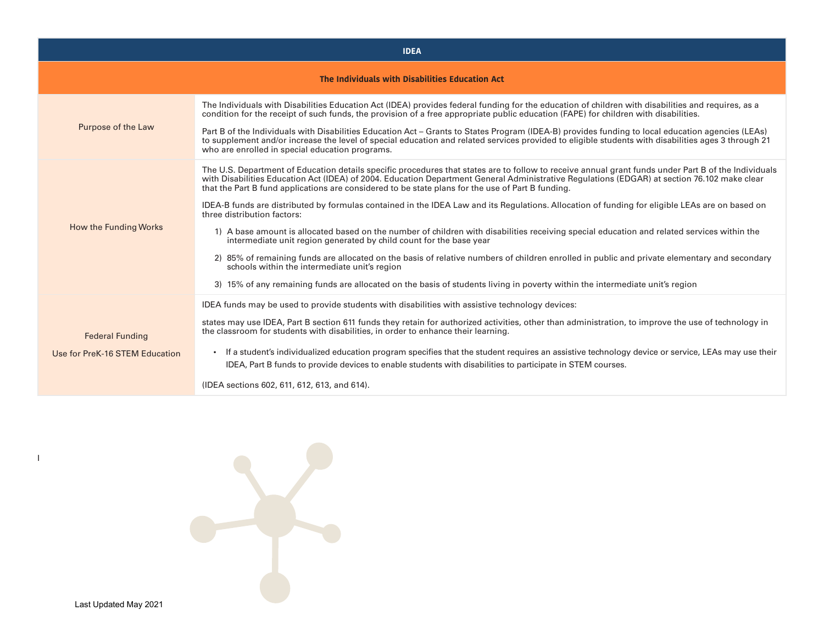| <b>IDEA</b>                                              |                                                                                                                                                                                                                                                                                                                                                                                                                                                                                                                                                                                                                                                                                                                                            |  |  |  |
|----------------------------------------------------------|--------------------------------------------------------------------------------------------------------------------------------------------------------------------------------------------------------------------------------------------------------------------------------------------------------------------------------------------------------------------------------------------------------------------------------------------------------------------------------------------------------------------------------------------------------------------------------------------------------------------------------------------------------------------------------------------------------------------------------------------|--|--|--|
|                                                          | The Individuals with Disabilities Education Act                                                                                                                                                                                                                                                                                                                                                                                                                                                                                                                                                                                                                                                                                            |  |  |  |
| Purpose of the Law                                       | The Individuals with Disabilities Education Act (IDEA) provides federal funding for the education of children with disabilities and requires, as a<br>condition for the receipt of such funds, the provision of a free appropriate public education (FAPE) for children with disabilities.<br>Part B of the Individuals with Disabilities Education Act – Grants to States Program (IDEA-B) provides funding to local education agencies (LEAs)<br>to supplement and/or increase the level of special education and related services provided to eligible students with disabilities ages 3 through 21<br>who are enrolled in special education programs.                                                                                  |  |  |  |
| How the Funding Works                                    | The U.S. Department of Education details specific procedures that states are to follow to receive annual grant funds under Part B of the Individuals<br>with Disabilities Education Act (IDEA) of 2004. Education Department General Administrative Regulations (EDGAR) at section 76.102 make clear<br>that the Part B fund applications are considered to be state plans for the use of Part B funding.<br>IDEA-B funds are distributed by formulas contained in the IDEA Law and its Regulations. Allocation of funding for eligible LEAs are on based on<br>three distribution factors:<br>1) A base amount is allocated based on the number of children with disabilities receiving special education and related services within the |  |  |  |
|                                                          | intermediate unit region generated by child count for the base year<br>2) 85% of remaining funds are allocated on the basis of relative numbers of children enrolled in public and private elementary and secondary<br>schools within the intermediate unit's region<br>3) 15% of any remaining funds are allocated on the basis of students living in poverty within the intermediate unit's region                                                                                                                                                                                                                                                                                                                                       |  |  |  |
| <b>Federal Funding</b><br>Use for PreK-16 STEM Education | IDEA funds may be used to provide students with disabilities with assistive technology devices:<br>states may use IDEA, Part B section 611 funds they retain for authorized activities, other than administration, to improve the use of technology in<br>the classroom for students with disabilities, in order to enhance their learning.<br>• If a student's individualized education program specifies that the student requires an assistive technology device or service, LEAs may use their<br>IDEA, Part B funds to provide devices to enable students with disabilities to participate in STEM courses.<br>(IDEA sections 602, 611, 612, 613, and 614).                                                                           |  |  |  |

I